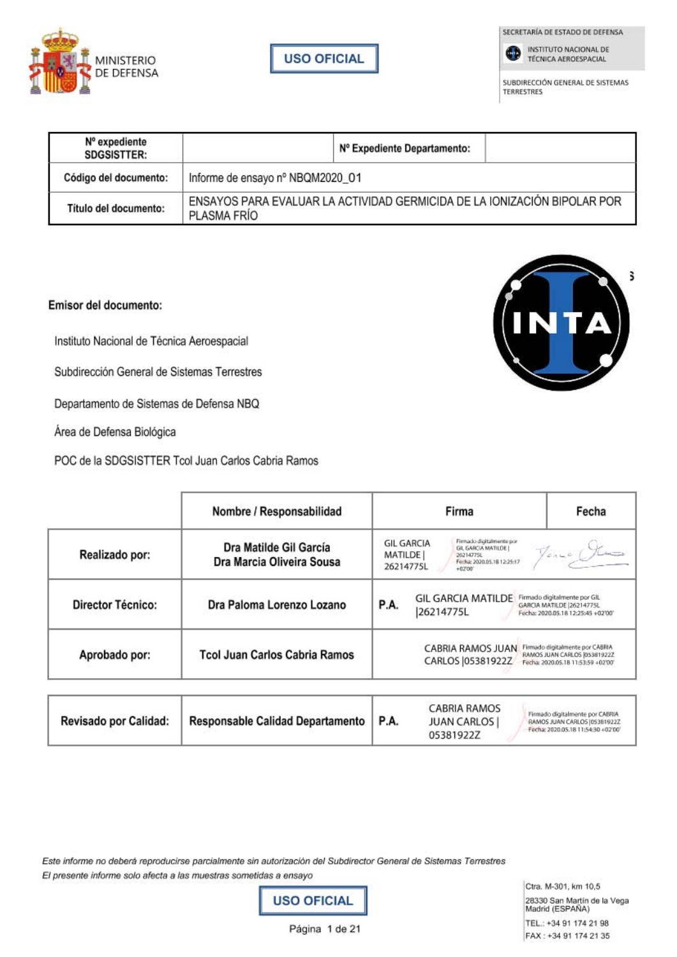

**USO OFICIAL** 

SECRETARÍA DE ESTADO DE DEFENSA



SUBDIRECCIÓN GENERAL DE SISTEMAS

z

**TERRESTRES** 

| Nº expediente<br><b>SDGSISTTER:</b> | Nº Expediente Departamento:                                                             |  |  |  |  |
|-------------------------------------|-----------------------------------------------------------------------------------------|--|--|--|--|
| Código del documento:               | Informe de ensayo nº NBQM2020 01                                                        |  |  |  |  |
| Título del documento:               | ENSAYOS PARA EVALUAR LA ACTIVIDAD GERMICIDA DE LA IONIZACIÓN BIPOLAR POR<br>PLASMA FRÍO |  |  |  |  |

## Emisor del documento:

Instituto Nacional de Técnica Aeroespacial

Subdirección General de Sistemas Terrestres

Departamento de Sistemas de Defensa NBQ

Área de Defensa Biológica

|                   | POC de la SDGSISTTER Tcol Juan Carlos Cabria Ramos  |                                                                                                                                                                         |                                                                                                       |  |
|-------------------|-----------------------------------------------------|-------------------------------------------------------------------------------------------------------------------------------------------------------------------------|-------------------------------------------------------------------------------------------------------|--|
|                   | Nombre / Responsabilidad                            | Firma                                                                                                                                                                   | Fecha                                                                                                 |  |
| Realizado por:    | Dra Matilde Gil García<br>Dra Marcia Oliveira Sousa | Firmado digitalmente por<br><b>GIL GARCIA</b><br>Jones Kus<br>GIL GARCIA MATILDE  <br><b>MATILDE</b><br>26214775L<br>Fecha: 2020.05.18.12:25:17<br>26214775L<br>$+0700$ |                                                                                                       |  |
| Director Técnico: | Dra Paloma Lorenzo Lozano                           | <b>GIL GARCIA MATILDE</b><br>P.A.<br>26214775L                                                                                                                          | Firmado digitalmente por GIL<br>GARCIA MATILDE 26214775L<br>Fecha: 2020.05.18 12:25:45 +02'00"        |  |
| Aprobado por:     | <b>Tcol Juan Carlos Cabria Ramos</b>                | CABRIA RAMOS JUAN<br>CARLOS   05381922Z                                                                                                                                 | Firmado digitalmente por CABRIA<br>RAMOS JUAN CARLOS (05381922Z<br>Fecha: 2020.05.18 11:53:59 +02'00' |  |

| <b>Revisado por Calidad:</b> | Responsable Calidad Departamento   P.A. |  | CABRIA RAMOS<br><b>JUAN CARLOS</b><br>05381922Z | Firmado digitalmente por CABRIA<br>RAMOS JUAN CARLOS 105381922Z<br>Fecha: 2020.05.18 11:54:30 +02'00' |
|------------------------------|-----------------------------------------|--|-------------------------------------------------|-------------------------------------------------------------------------------------------------------|
|------------------------------|-----------------------------------------|--|-------------------------------------------------|-------------------------------------------------------------------------------------------------------|

Este informe no deberá reproducirse parcialmente sin autorización del Subdirector General de Sistemas Terrestres El presente informe solo afecta a las muestras sometidas a ensayo



Ctra. M-301, km 10,5 28330 San Martín de la Vega<br>Madrid (ESPAÑA) TEL.: +34 91 174 21 98 FAX: +34 91 174 21 35

Página 1 de 21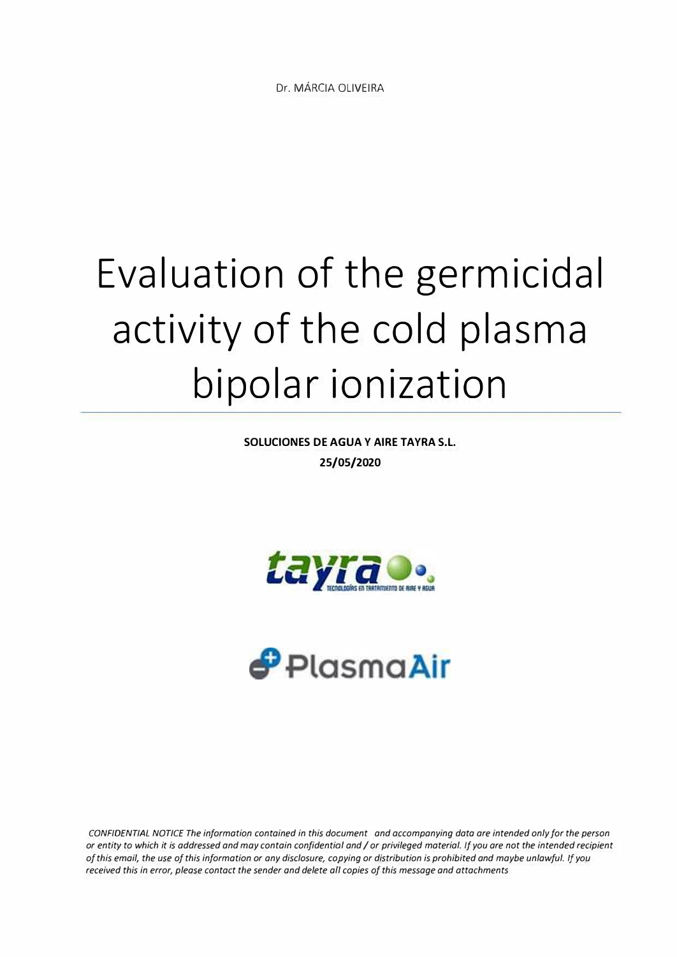## **Evaluation of the germicidal activity of the cold plasma bipolar ionization**

**SOLUCIONES DE AGUA Y AIRE TAYRA S.L. 25/05/2020** 





*CONFIDENTIAL NOTICE The information contained in this document and accompanying data are intended only for the person or entity to which it is addressed and may contain confidential and I or privileged material. if you are not the intended recipient of this email, the use of this information or any disclosure, copying or distribution is prohibited and maybe unlawful. If you received this in error, please contact the sender and delete afl copies of this message and attachments*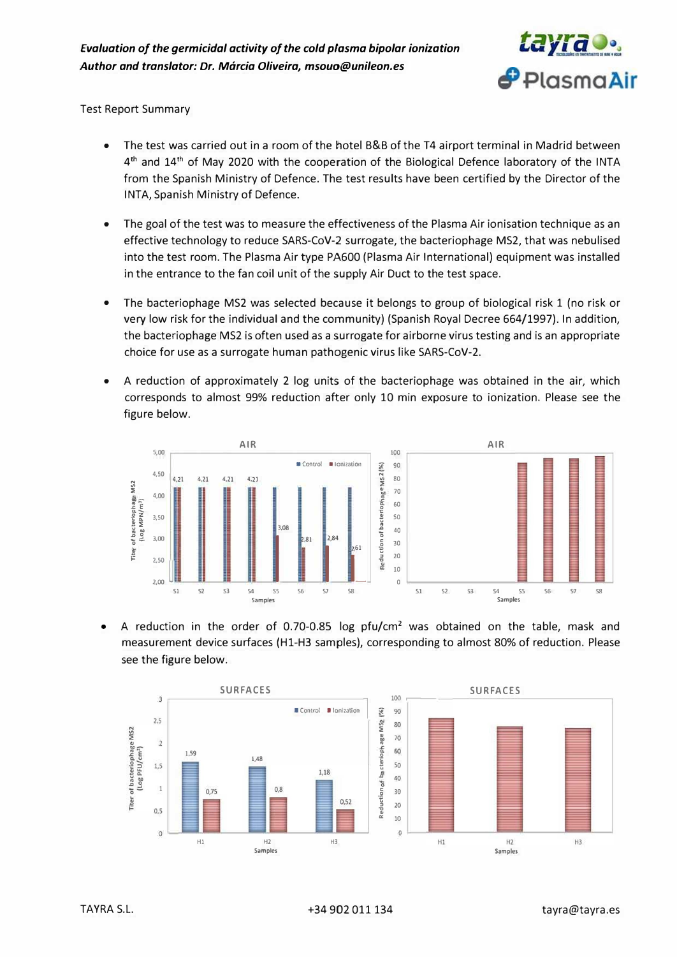

Test Report Summary

- The test was carried out in a room of the hotel B&B of the T4 airport terminal in Madrid between 4<sup>th</sup> and 14<sup>th</sup> of May 2020 with the cooperation of the Biological Defence laboratory of the INTA from the Spanish Ministry of Defence. The test results have been certified by the Director of the INTA, Spanish Ministry of Defence.
- The goal of the test was to measure the effectiveness of the Plasma Air ionisation technique as an effective technology to reduce SARS-CoV-2 surrogate, the bacteriophage MS2, that was nebulised into the test room. The Plasma Air type PA600 (Plasma Air International) equipment was installed in the entrance to the fan coil unit of the supply Air Duct to the test space.
- The bacteriophage MS2 was selected because it belongs to group of biological risk 1 (no risk or very low risk for the individual and the community) (Spanish Royal Decree 664/1997). In addition, the bacteriophage MS2 is often used as a surrogate for airborne virus testing and is an appropriate choice for use as a surrogate human pathogenic virus like SARS-CoV-2.
- A reduction of approximately 2 log units of the bacteriophage was obtained in the air, which corresponds to almost 99% reduction after only 10 min exposure to ionization. Please see the figure below.



• A reduction in the order of 0.70-0.85 log pfu/cm<sup>2</sup> was obtained on the table, mask and measurement device surfaces (Hl-H3 samples), corresponding to almost 80% of reduction. Please see the figure below.